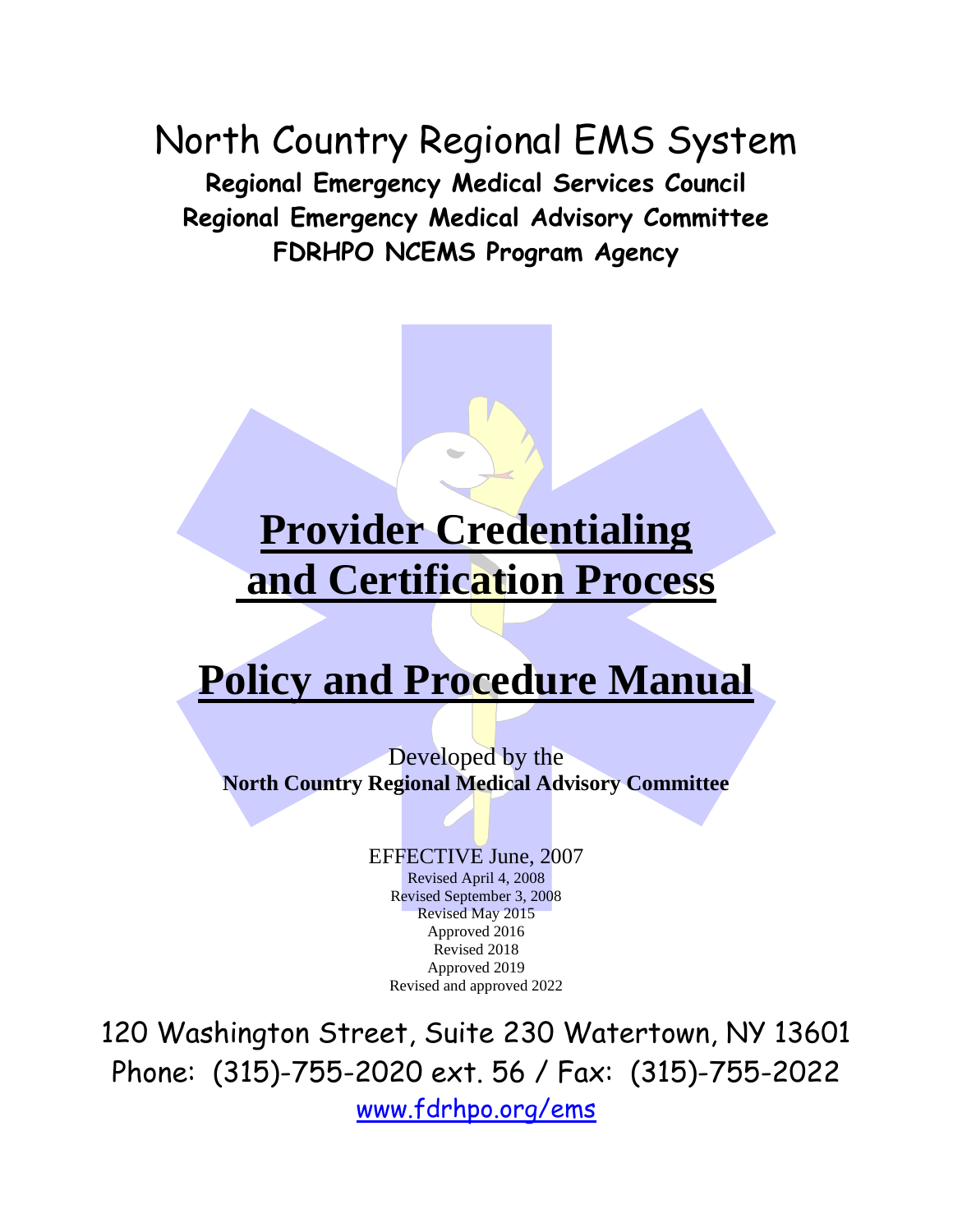North Country Regional EMS System **Regional Emergency Medical Services Council Regional Emergency Medical Advisory Committee FDRHPO NCEMS Program Agency**

# **Provider Credentialing and Certification Process**

# **Policy and Procedure Manual**

Developed by the **North Country Regional Medical Advisory Committee**

> EFFECTIVE June, 2007 Revised April 4, 2008 Revised September 3, 2008 Revised May 2015 Approved 2016 Revised 2018 Approved 2019 Revised and approved 2022

120 Washington Street, Suite 230 Watertown, NY 13601 Phone: (315)-755-2020 ext. 56 / Fax: (315)-755-2022 www.fdrhpo.org/ems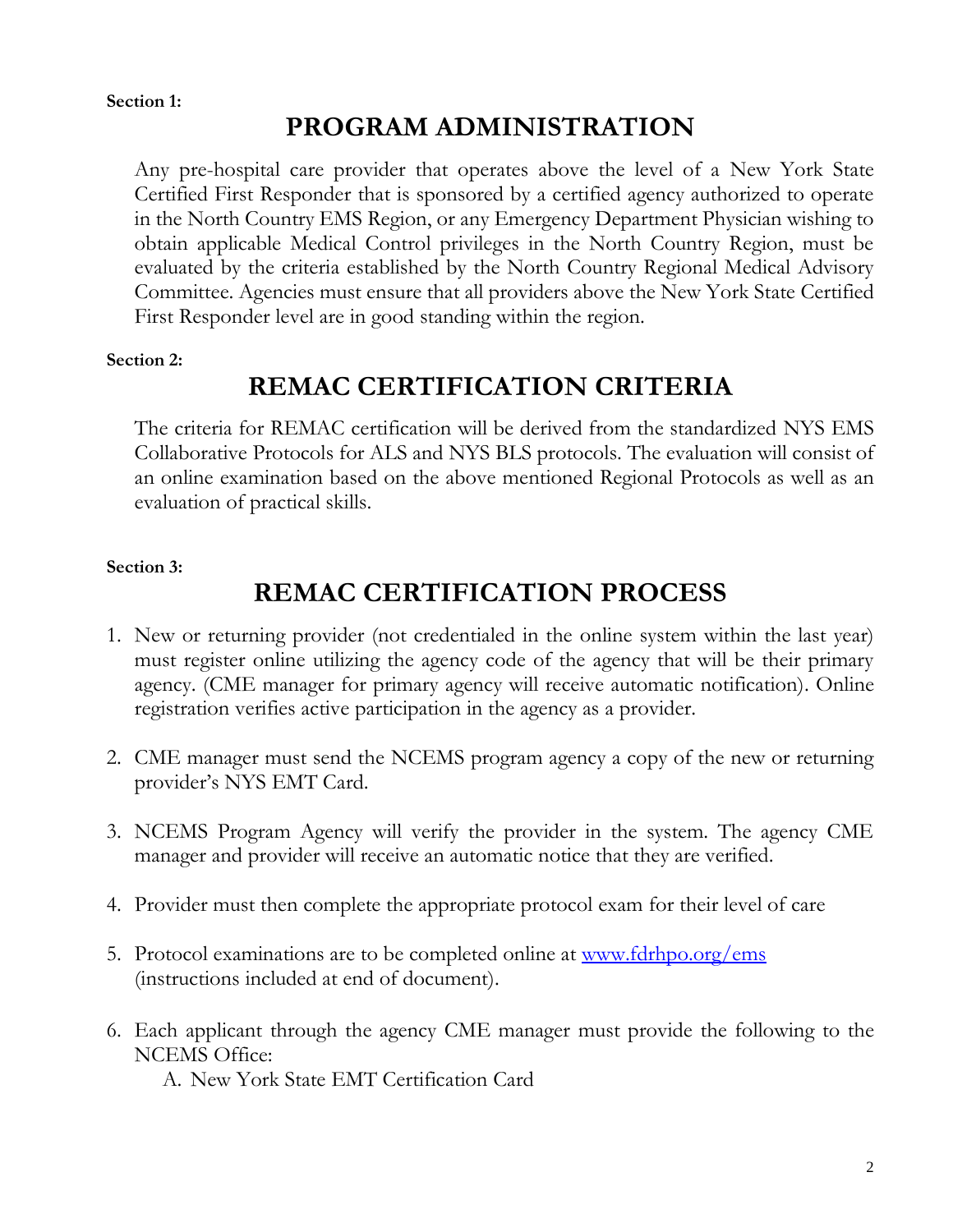#### **Section 1:**

### **PROGRAM ADMINISTRATION**

Any pre-hospital care provider that operates above the level of a New York State Certified First Responder that is sponsored by a certified agency authorized to operate in the North Country EMS Region, or any Emergency Department Physician wishing to obtain applicable Medical Control privileges in the North Country Region, must be evaluated by the criteria established by the North Country Regional Medical Advisory Committee. Agencies must ensure that all providers above the New York State Certified First Responder level are in good standing within the region.

#### **Section 2:**

### **REMAC CERTIFICATION CRITERIA**

The criteria for REMAC certification will be derived from the standardized NYS EMS Collaborative Protocols for ALS and NYS BLS protocols. The evaluation will consist of an online examination based on the above mentioned Regional Protocols as well as an evaluation of practical skills.

#### **Section 3:**

### **REMAC CERTIFICATION PROCESS**

- 1. New or returning provider (not credentialed in the online system within the last year) must register online utilizing the agency code of the agency that will be their primary agency. (CME manager for primary agency will receive automatic notification). Online registration verifies active participation in the agency as a provider.
- 2. CME manager must send the NCEMS program agency a copy of the new or returning provider's NYS EMT Card.
- 3. NCEMS Program Agency will verify the provider in the system. The agency CME manager and provider will receive an automatic notice that they are verified.
- 4. Provider must then complete the appropriate protocol exam for their level of care
- 5. Protocol examinations are to be completed online at [www.fdrhpo.org/ems](http://www.fdrhpo.org/ems) (instructions included at end of document).
- 6. Each applicant through the agency CME manager must provide the following to the NCEMS Office:

A. New York State EMT Certification Card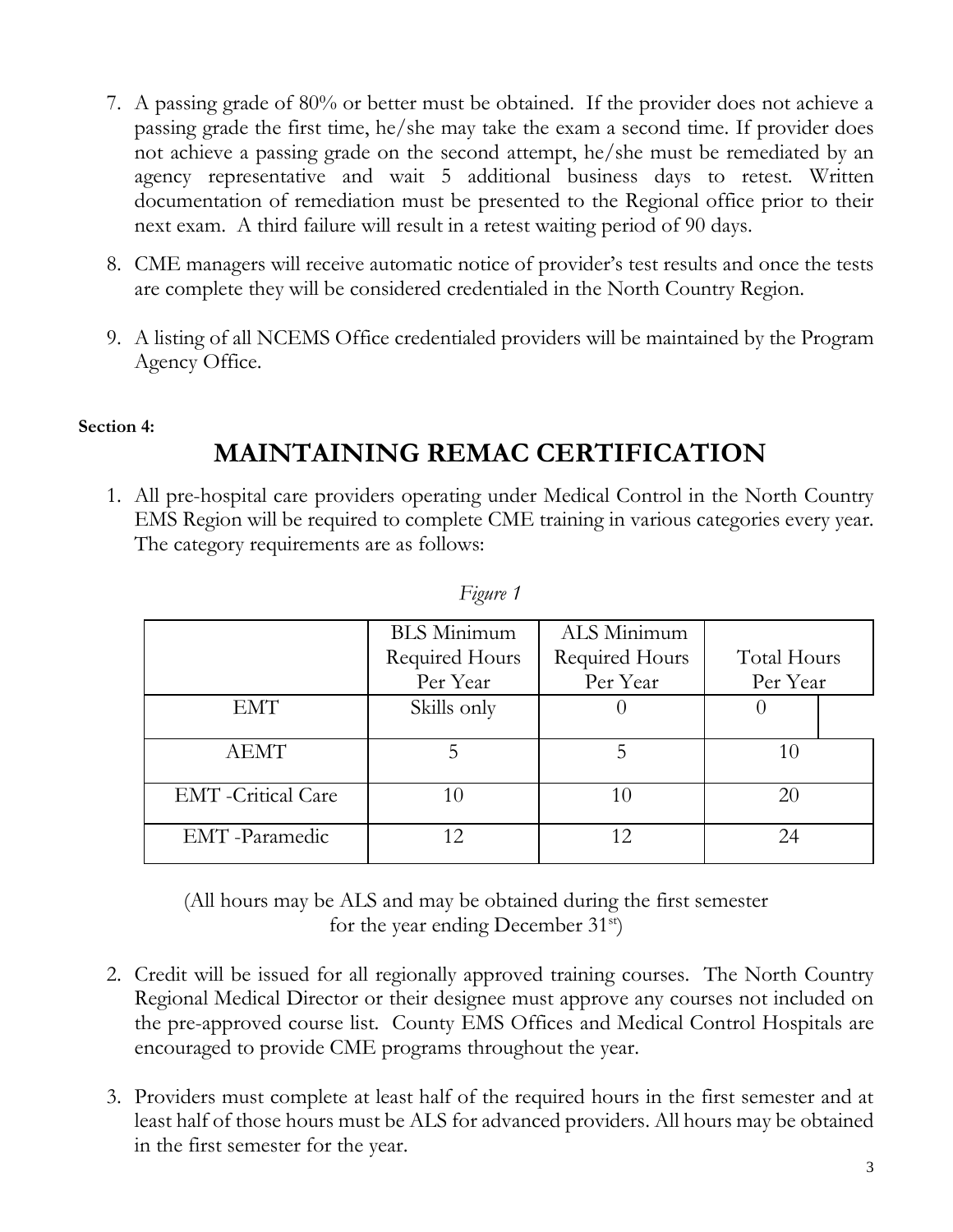- 7. A passing grade of 80% or better must be obtained. If the provider does not achieve a passing grade the first time, he/she may take the exam a second time. If provider does not achieve a passing grade on the second attempt, he/she must be remediated by an agency representative and wait 5 additional business days to retest. Written documentation of remediation must be presented to the Regional office prior to their next exam. A third failure will result in a retest waiting period of 90 days.
- 8. CME managers will receive automatic notice of provider's test results and once the tests are complete they will be considered credentialed in the North Country Region.
- 9. A listing of all NCEMS Office credentialed providers will be maintained by the Program Agency Office.

#### **Section 4:**

## **MAINTAINING REMAC CERTIFICATION**

1. All pre-hospital care providers operating under Medical Control in the North Country EMS Region will be required to complete CME training in various categories every year. The category requirements are as follows:

|                            | <b>BLS</b> Minimum | ALS Minimum    |             |
|----------------------------|--------------------|----------------|-------------|
|                            | Required Hours     | Required Hours | Total Hours |
|                            | Per Year           | Per Year       | Per Year    |
| <b>EMT</b>                 | Skills only        |                |             |
|                            |                    |                |             |
| <b>AEMT</b>                |                    | 5              | 10          |
|                            |                    |                |             |
| <b>EMT</b> - Critical Care |                    | 10             | 20          |
|                            |                    |                |             |
| EMT-Paramedic              | 12                 | 12             | 24          |
|                            |                    |                |             |

| P.<br>19Ur |  |
|------------|--|
|------------|--|

(All hours may be ALS and may be obtained during the first semester for the year ending December 31st)

- 2. Credit will be issued for all regionally approved training courses. The North Country Regional Medical Director or their designee must approve any courses not included on the pre-approved course list. County EMS Offices and Medical Control Hospitals are encouraged to provide CME programs throughout the year.
- 3. Providers must complete at least half of the required hours in the first semester and at least half of those hours must be ALS for advanced providers. All hours may be obtained in the first semester for the year.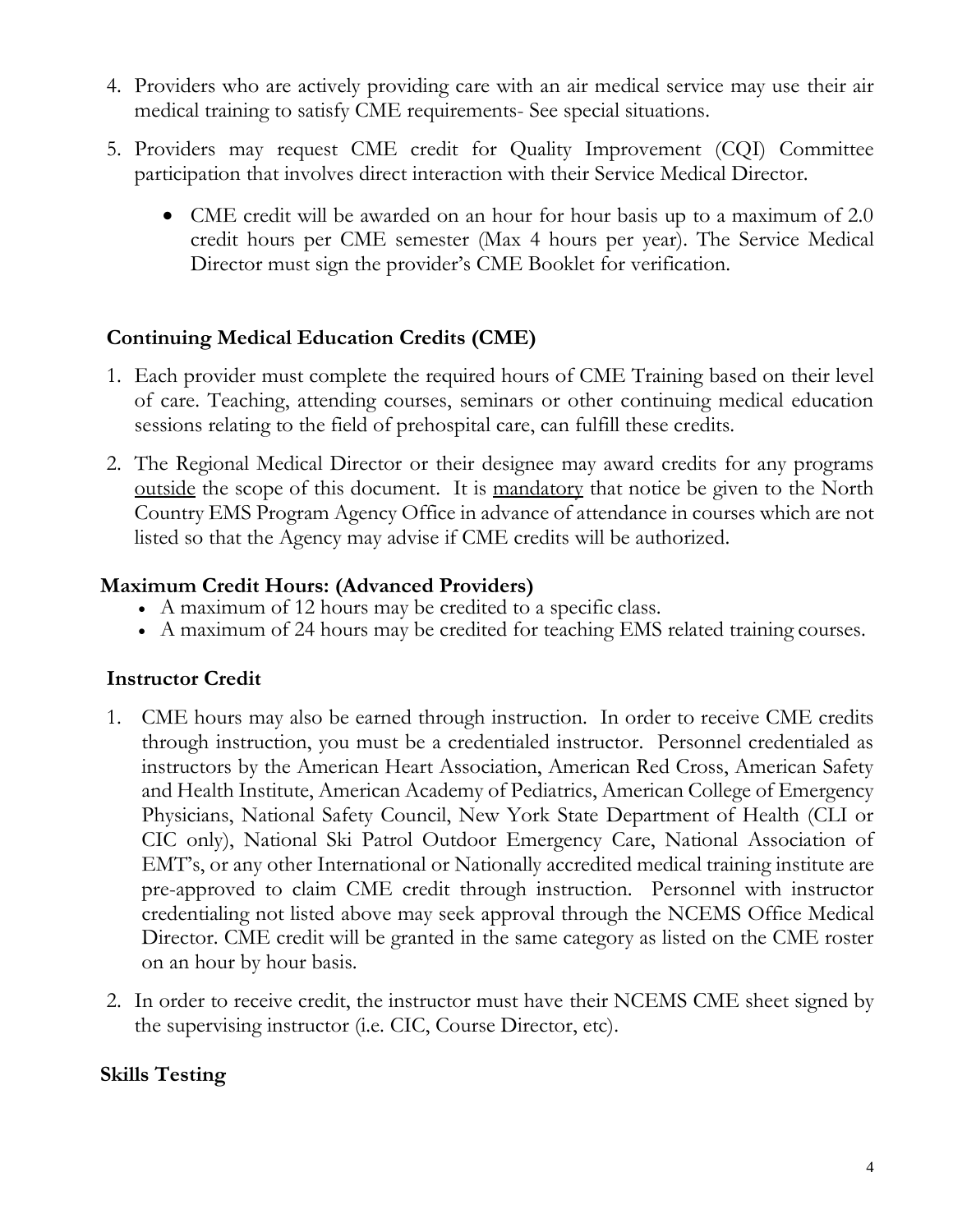- 4. Providers who are actively providing care with an air medical service may use their air medical training to satisfy CME requirements- See special situations.
- 5. Providers may request CME credit for Quality Improvement (CQI) Committee participation that involves direct interaction with their Service Medical Director.
	- CME credit will be awarded on an hour for hour basis up to a maximum of 2.0 credit hours per CME semester (Max 4 hours per year). The Service Medical Director must sign the provider's CME Booklet for verification.

### **Continuing Medical Education Credits (CME)**

- 1. Each provider must complete the required hours of CME Training based on their level of care. Teaching, attending courses, seminars or other continuing medical education sessions relating to the field of prehospital care, can fulfill these credits.
- 2. The Regional Medical Director or their designee may award credits for any programs outside the scope of this document. It is <u>mandatory</u> that notice be given to the North Country EMS Program Agency Office in advance of attendance in courses which are not listed so that the Agency may advise if CME credits will be authorized.

### **Maximum Credit Hours: (Advanced Providers)**

- A maximum of 12 hours may be credited to a specific class.
- A maximum of 24 hours may be credited for teaching EMS related training courses.

### **Instructor Credit**

- 1. CME hours may also be earned through instruction. In order to receive CME credits through instruction, you must be a credentialed instructor. Personnel credentialed as instructors by the American Heart Association, American Red Cross, American Safety and Health Institute, American Academy of Pediatrics, American College of Emergency Physicians, National Safety Council, New York State Department of Health (CLI or CIC only), National Ski Patrol Outdoor Emergency Care, National Association of EMT's, or any other International or Nationally accredited medical training institute are pre-approved to claim CME credit through instruction. Personnel with instructor credentialing not listed above may seek approval through the NCEMS Office Medical Director. CME credit will be granted in the same category as listed on the CME roster on an hour by hour basis.
- 2. In order to receive credit, the instructor must have their NCEMS CME sheet signed by the supervising instructor (i.e. CIC, Course Director, etc).

### **Skills Testing**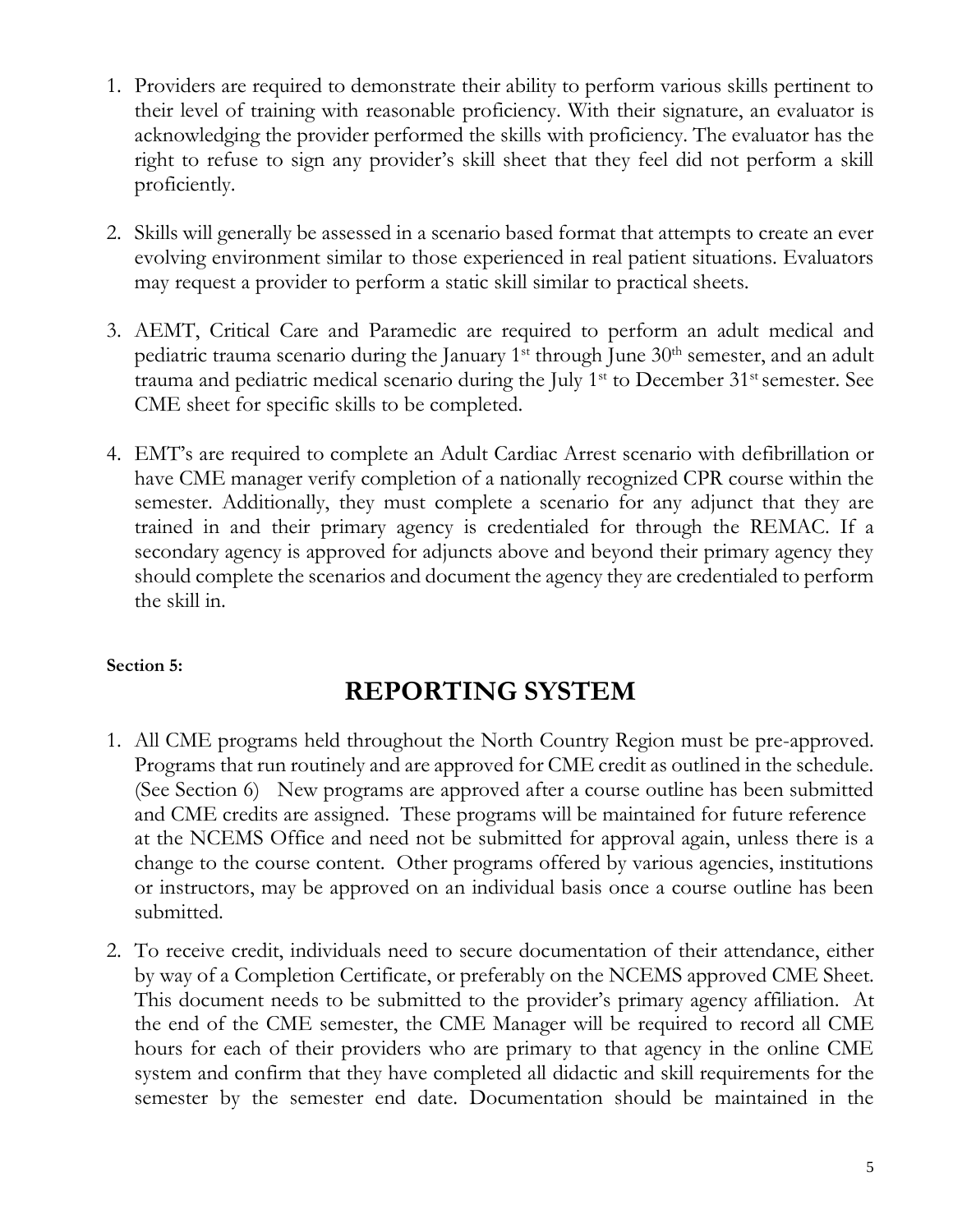- 1. Providers are required to demonstrate their ability to perform various skills pertinent to their level of training with reasonable proficiency. With their signature, an evaluator is acknowledging the provider performed the skills with proficiency. The evaluator has the right to refuse to sign any provider's skill sheet that they feel did not perform a skill proficiently.
- 2. Skills will generally be assessed in a scenario based format that attempts to create an ever evolving environment similar to those experienced in real patient situations. Evaluators may request a provider to perform a static skill similar to practical sheets.
- 3. AEMT, Critical Care and Paramedic are required to perform an adult medical and pediatric trauma scenario during the January  $1<sup>st</sup>$  through June  $30<sup>th</sup>$  semester, and an adult trauma and pediatric medical scenario during the July 1<sup>st</sup> to December 31<sup>st</sup> semester. See CME sheet for specific skills to be completed.
- 4. EMT's are required to complete an Adult Cardiac Arrest scenario with defibrillation or have CME manager verify completion of a nationally recognized CPR course within the semester. Additionally, they must complete a scenario for any adjunct that they are trained in and their primary agency is credentialed for through the REMAC. If a secondary agency is approved for adjuncts above and beyond their primary agency they should complete the scenarios and document the agency they are credentialed to perform the skill in.

### **Section 5:**

### **REPORTING SYSTEM**

- 1. All CME programs held throughout the North Country Region must be pre-approved. Programs that run routinely and are approved for CME credit as outlined in the schedule. (See Section 6) New programs are approved after a course outline has been submitted and CME credits are assigned. These programs will be maintained for future reference at the NCEMS Office and need not be submitted for approval again, unless there is a change to the course content. Other programs offered by various agencies, institutions or instructors, may be approved on an individual basis once a course outline has been submitted.
- 2. To receive credit, individuals need to secure documentation of their attendance, either by way of a Completion Certificate, or preferably on the NCEMS approved CME Sheet. This document needs to be submitted to the provider's primary agency affiliation. At the end of the CME semester, the CME Manager will be required to record all CME hours for each of their providers who are primary to that agency in the online CME system and confirm that they have completed all didactic and skill requirements for the semester by the semester end date. Documentation should be maintained in the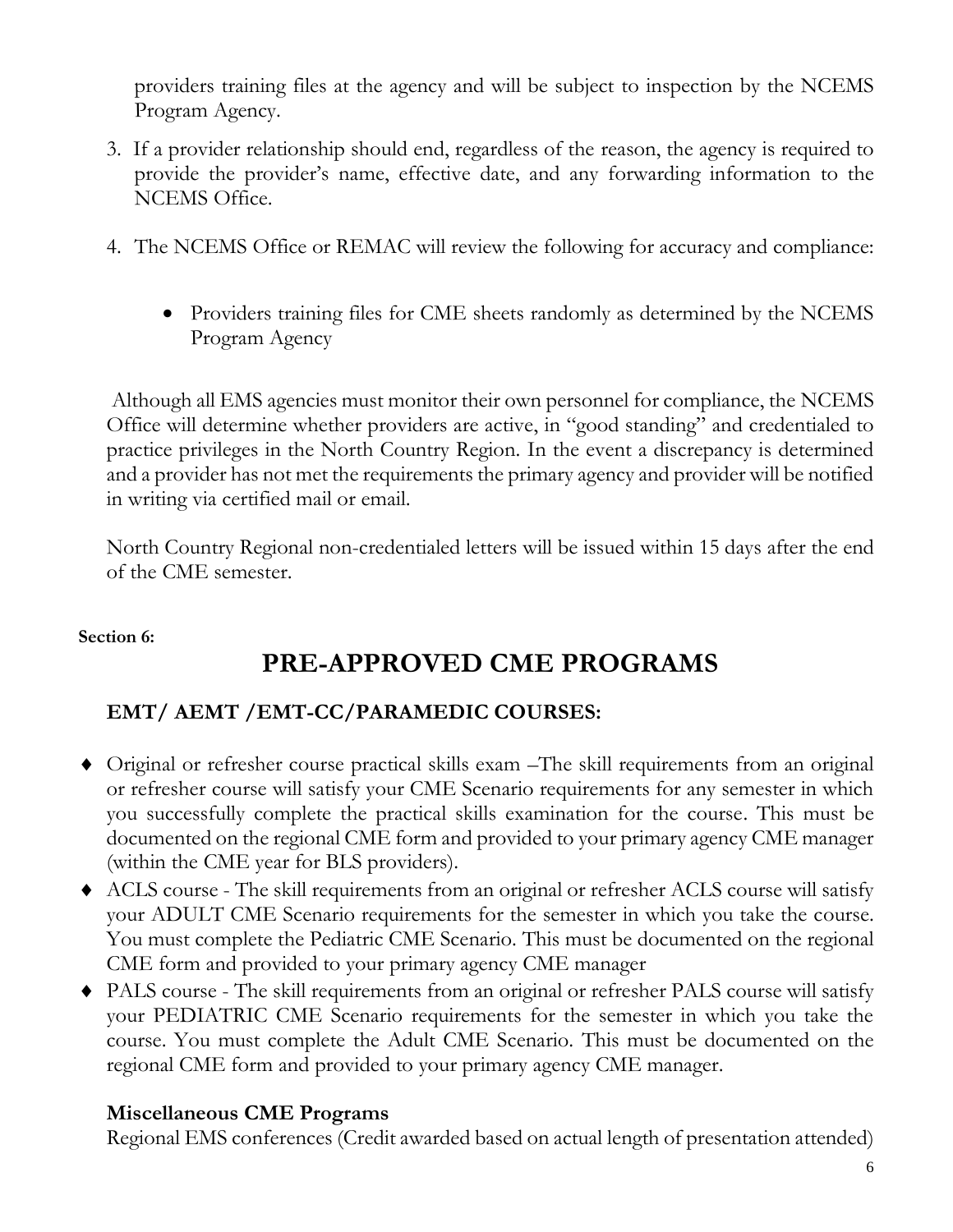providers training files at the agency and will be subject to inspection by the NCEMS Program Agency.

- 3. If a provider relationship should end, regardless of the reason, the agency is required to provide the provider's name, effective date, and any forwarding information to the NCEMS Office.
- 4. The NCEMS Office or REMAC will review the following for accuracy and compliance:
	- Providers training files for CME sheets randomly as determined by the NCEMS Program Agency

Although all EMS agencies must monitor their own personnel for compliance, the NCEMS Office will determine whether providers are active, in "good standing" and credentialed to practice privileges in the North Country Region. In the event a discrepancy is determined and a provider has not met the requirements the primary agency and provider will be notified in writing via certified mail or email.

North Country Regional non-credentialed letters will be issued within 15 days after the end of the CME semester.

### **Section 6:**

### **PRE-APPROVED CME PROGRAMS**

### **EMT/ AEMT /EMT-CC/PARAMEDIC COURSES:**

- Original or refresher course practical skills exam –The skill requirements from an original or refresher course will satisfy your CME Scenario requirements for any semester in which you successfully complete the practical skills examination for the course. This must be documented on the regional CME form and provided to your primary agency CME manager (within the CME year for BLS providers).
- ACLS course The skill requirements from an original or refresher ACLS course will satisfy your ADULT CME Scenario requirements for the semester in which you take the course. You must complete the Pediatric CME Scenario. This must be documented on the regional CME form and provided to your primary agency CME manager
- PALS course The skill requirements from an original or refresher PALS course will satisfy your PEDIATRIC CME Scenario requirements for the semester in which you take the course. You must complete the Adult CME Scenario. This must be documented on the regional CME form and provided to your primary agency CME manager.

### **Miscellaneous CME Programs**

Regional EMS conferences (Credit awarded based on actual length of presentation attended)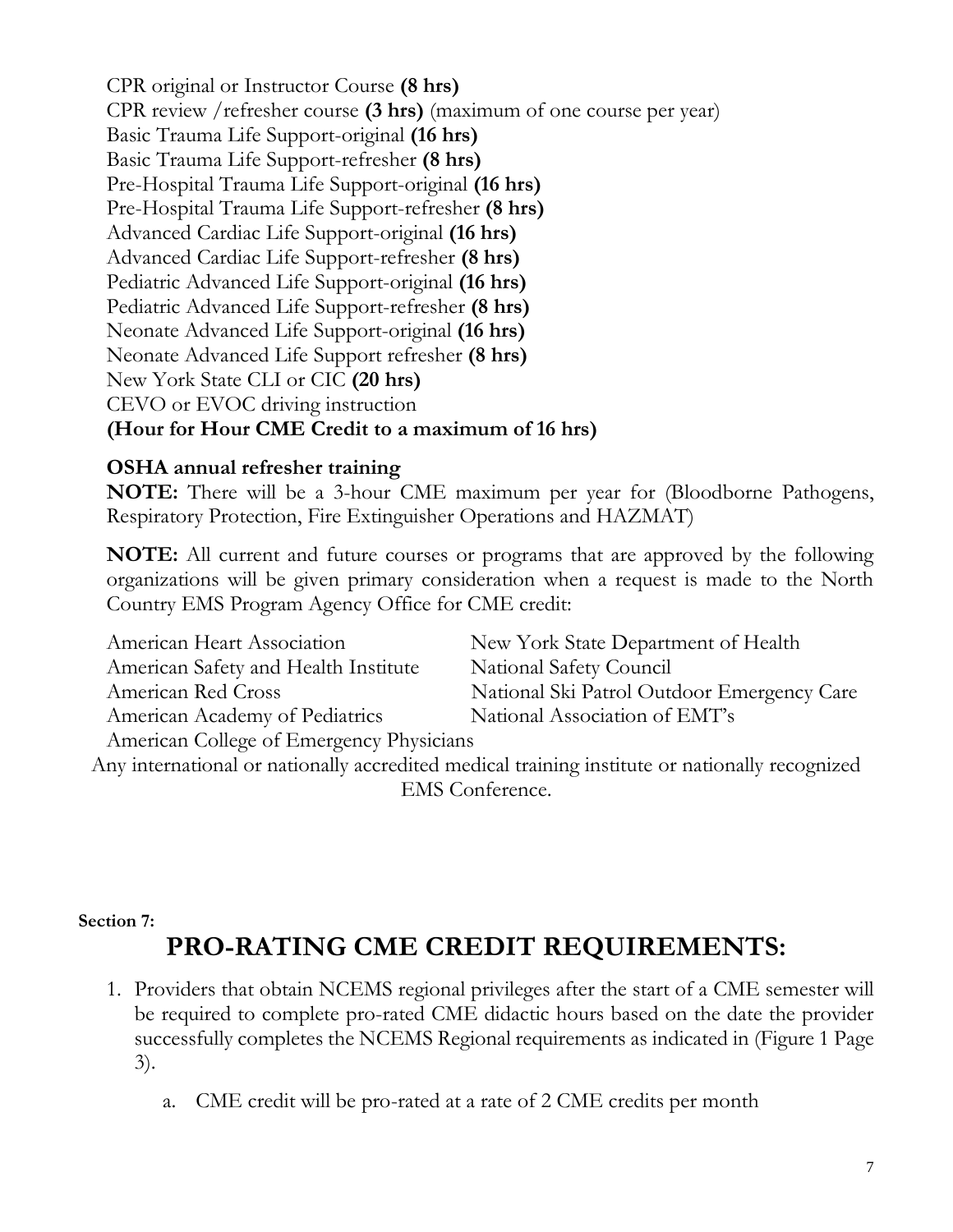CPR original or Instructor Course **(8 hrs)** CPR review /refresher course **(3 hrs)** (maximum of one course per year) Basic Trauma Life Support-original **(16 hrs)** Basic Trauma Life Support-refresher **(8 hrs)** Pre-Hospital Trauma Life Support-original **(16 hrs)** Pre-Hospital Trauma Life Support-refresher **(8 hrs)** Advanced Cardiac Life Support-original **(16 hrs)** Advanced Cardiac Life Support-refresher **(8 hrs)** Pediatric Advanced Life Support-original **(16 hrs)** Pediatric Advanced Life Support-refresher **(8 hrs)** Neonate Advanced Life Support-original **(16 hrs)** Neonate Advanced Life Support refresher **(8 hrs)** New York State CLI or CIC **(20 hrs)** CEVO or EVOC driving instruction **(Hour for Hour CME Credit to a maximum of 16 hrs)**

### **OSHA annual refresher training**

**NOTE:** There will be a 3-hour CME maximum per year for (Bloodborne Pathogens, Respiratory Protection, Fire Extinguisher Operations and HAZMAT)

**NOTE:** All current and future courses or programs that are approved by the following organizations will be given primary consideration when a request is made to the North Country EMS Program Agency Office for CME credit:

| American Heart Association               | New York State Department of Health        |  |
|------------------------------------------|--------------------------------------------|--|
| American Safety and Health Institute     | National Safety Council                    |  |
| American Red Cross                       | National Ski Patrol Outdoor Emergency Care |  |
| American Academy of Pediatrics           | National Association of EMT's              |  |
| American College of Emergency Physicians |                                            |  |

Any international or nationally accredited medical training institute or nationally recognized EMS Conference.

#### **Section 7:**

### **PRO-RATING CME CREDIT REQUIREMENTS:**

- 1. Providers that obtain NCEMS regional privileges after the start of a CME semester will be required to complete pro-rated CME didactic hours based on the date the provider successfully completes the NCEMS Regional requirements as indicated in (Figure 1 Page 3).
	- a. CME credit will be pro-rated at a rate of 2 CME credits per month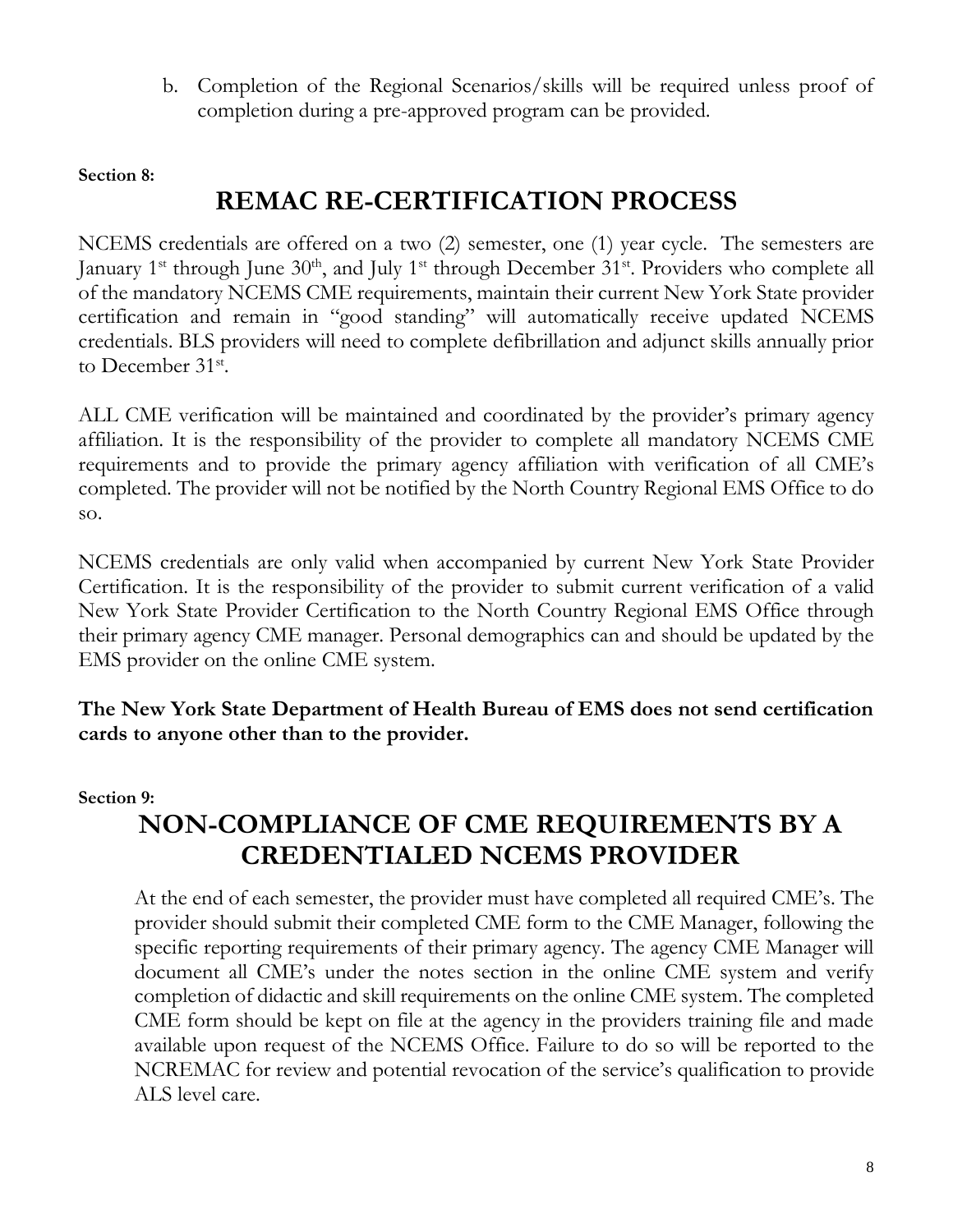b. Completion of the Regional Scenarios/skills will be required unless proof of completion during a pre-approved program can be provided.

#### **Section 8:**

### **REMAC RE-CERTIFICATION PROCESS**

NCEMS credentials are offered on a two (2) semester, one (1) year cycle. The semesters are January 1<sup>st</sup> through June 30<sup>th</sup>, and July 1<sup>st</sup> through December 31<sup>st</sup>. Providers who complete all of the mandatory NCEMS CME requirements, maintain their current New York State provider certification and remain in "good standing" will automatically receive updated NCEMS credentials. BLS providers will need to complete defibrillation and adjunct skills annually prior to December 31<sup>st</sup>.

ALL CME verification will be maintained and coordinated by the provider's primary agency affiliation. It is the responsibility of the provider to complete all mandatory NCEMS CME requirements and to provide the primary agency affiliation with verification of all CME's completed. The provider will not be notified by the North Country Regional EMS Office to do so.

NCEMS credentials are only valid when accompanied by current New York State Provider Certification. It is the responsibility of the provider to submit current verification of a valid New York State Provider Certification to the North Country Regional EMS Office through their primary agency CME manager. Personal demographics can and should be updated by the EMS provider on the online CME system.

**The New York State Department of Health Bureau of EMS does not send certification cards to anyone other than to the provider.**

#### **Section 9:**

## **NON-COMPLIANCE OF CME REQUIREMENTS BY A CREDENTIALED NCEMS PROVIDER**

At the end of each semester, the provider must have completed all required CME's. The provider should submit their completed CME form to the CME Manager, following the specific reporting requirements of their primary agency. The agency CME Manager will document all CME's under the notes section in the online CME system and verify completion of didactic and skill requirements on the online CME system. The completed CME form should be kept on file at the agency in the providers training file and made available upon request of the NCEMS Office. Failure to do so will be reported to the NCREMAC for review and potential revocation of the service's qualification to provide ALS level care.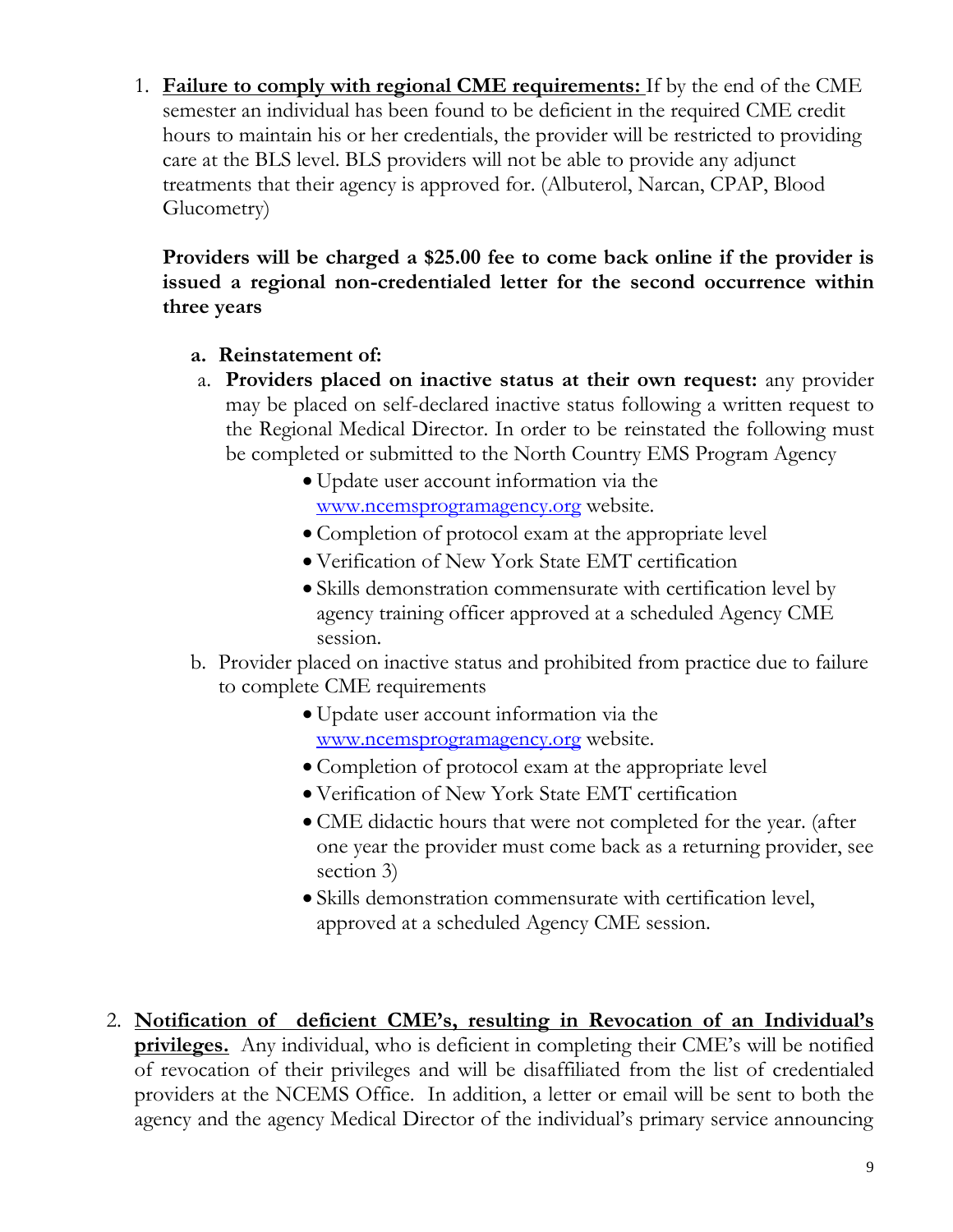1. **Failure to comply with regional CME requirements:** If by the end of the CME semester an individual has been found to be deficient in the required CME credit hours to maintain his or her credentials, the provider will be restricted to providing care at the BLS level. BLS providers will not be able to provide any adjunct treatments that their agency is approved for. (Albuterol, Narcan, CPAP, Blood Glucometry)

**Providers will be charged a \$25.00 fee to come back online if the provider is issued a regional non-credentialed letter for the second occurrence within three years**

- **a. Reinstatement of:**
- a. **Providers placed on inactive status at their own request:** any provider may be placed on self-declared inactive status following a written request to the Regional Medical Director. In order to be reinstated the following must be completed or submitted to the North Country EMS Program Agency
	- Update user account information via the [www.ncemsprogramagency.org](http://www.ncemsprogramagency.org/) website.
	- Completion of protocol exam at the appropriate level
	- Verification of New York State EMT certification
	- Skills demonstration commensurate with certification level by agency training officer approved at a scheduled Agency CME session.
- b. Provider placed on inactive status and prohibited from practice due to failure to complete CME requirements
	- Update user account information via the [www.ncemsprogramagency.org](http://www.ncemsprogramagency.org/) website.
	- Completion of protocol exam at the appropriate level
	- Verification of New York State EMT certification
	- CME didactic hours that were not completed for the year. (after one year the provider must come back as a returning provider, see section 3)
	- Skills demonstration commensurate with certification level, approved at a scheduled Agency CME session.
- 2. **Notification of deficient CME's, resulting in Revocation of an Individual's privileges.** Any individual, who is deficient in completing their CME's will be notified of revocation of their privileges and will be disaffiliated from the list of credentialed providers at the NCEMS Office. In addition, a letter or email will be sent to both the agency and the agency Medical Director of the individual's primary service announcing